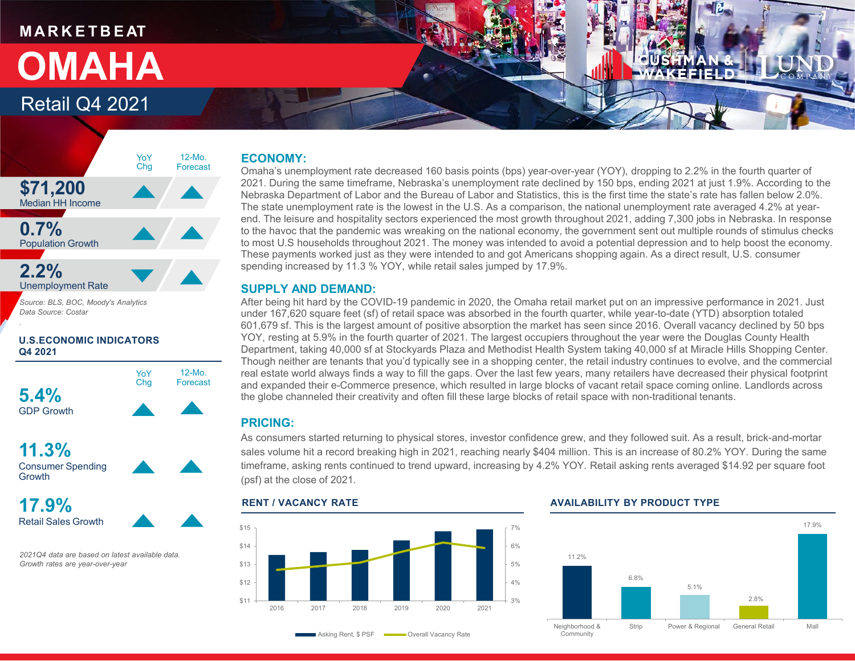# **M A R K E T B E AT** Retail Q4 2021 **OMAHA**

### **ECONOMY:**

Omaha's unemployment rate decreased 160 basis points (bps) year-over-year (YOY), dropping to 2.2% in the fourth quarter of 2021. During the same timeframe, Nebraska's unemployment rate declined by 150 bps, ending 2021 at just 1.9%. According to the Nebraska Department of Labor and the Bureau of Labor and Statistics, this is the first time the state's rate has fallen below 2.0%. The state unemployment rate is the lowest in the U.S. As a comparison, the national unemployment rate averaged 4.2% at yearend. The leisure and hospitality sectors experienced the most growth throughout 2021, adding 7,300 jobs in Nebraska. In response to the havoc that the pandemic was wreaking on the national economy, the government sent out multiple rounds of stimulus checks to most U.S households throughout 2021. The money was intended to avoid a potential depression and to help boost the economy. These payments worked just as they were intended to and got Americans shopping again. As a direct result, U.S. consumer spending increased by 11.3 % YOY, while retail sales jumped by 17.9%.

### **SUPPLY AND DEMAND:**

After being hit hard by the COVID-19 pandemic in 2020, the Omaha retail market put on an impressive performance in 2021. Just under 167,620 square feet (sf) of retail space was absorbed in the fourth quarter, while year-to-date (YTD) absorption totaled 601,679 sf. This is the largest amount of positive absorption the market has seen since 2016. Overall vacancy declined by 50 bps YOY, resting at 5.9% in the fourth quarter of 2021. The largest occupiers throughout the year were the Douglas County Health Department, taking 40,000 sf at Stockyards Plaza and Methodist Health System taking 40,000 sf at Miracle Hills Shopping Center. Though neither are tenants that you'd typically see in a shopping center, the retail industry continues to evolve, and the commercial real estate world always finds a way to fill the gaps. Over the last few years, many retailers have decreased their physical footprint and expanded their e-Commerce presence, which resulted in large blocks of vacant retail space coming online. Landlords across the globe channeled their creativity and often fill these large blocks of retail space with non-traditional tenants.

### **PRICING:**

As consumers started returning to physical stores, investor confidence grew, and they followed suit. As a result, brick-and-mortar sales volume hit a record breaking high in 2021, reaching nearly \$404 million. This is an increase of 80.2% YOY. During the same timeframe, asking rents continued to trend upward, increasing by 4.2% YOY. Retail asking rents averaged \$14.92 per square foot (psf) at the close of 2021.



### **RENT / VACANCY RATE AVAILABILITY BY PRODUCT TYPE**



### **\$71,200** Median HH Income **0.7%** Population Growth **2.2%** Unemployment Rate 12-Mo. Forecast YoY Chg

*Source: BLS, BOC, Moody's Analytics Data Source: Costar*

**U.S.ECONOMIC INDICATORS Q4 2021**



**11.3%** Consumer Spending **Growth** 

*.*

**17.9%** Retail Sales Growth

*2021Q4 data are based on latest available data. Growth rates are year-over-year*